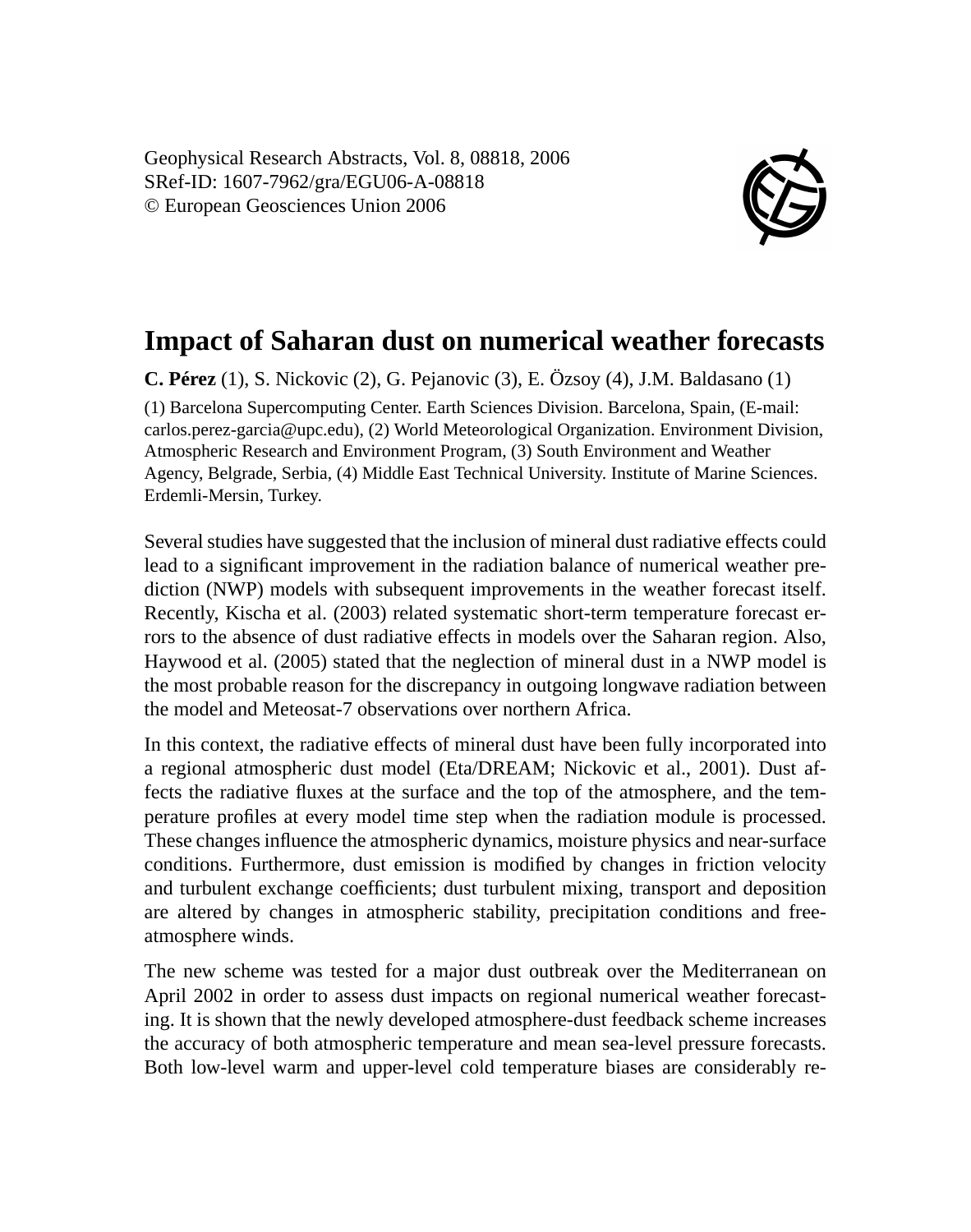Geophysical Research Abstracts, Vol. 8, 08818, 2006 SRef-ID: 1607-7962/gra/EGU06-A-08818 © European Geosciences Union 2006



## **Impact of Saharan dust on numerical weather forecasts**

**C. Pérez** (1), S. Nickovic (2), G. Pejanovic (3), E. Özsoy (4), J.M. Baldasano (1) (1) Barcelona Supercomputing Center. Earth Sciences Division. Barcelona, Spain, (E-mail: carlos.perez-garcia@upc.edu), (2) World Meteorological Organization. Environment Division, Atmospheric Research and Environment Program, (3) South Environment and Weather Agency, Belgrade, Serbia, (4) Middle East Technical University. Institute of Marine Sciences. Erdemli-Mersin, Turkey.

Several studies have suggested that the inclusion of mineral dust radiative effects could lead to a significant improvement in the radiation balance of numerical weather prediction (NWP) models with subsequent improvements in the weather forecast itself. Recently, Kischa et al. (2003) related systematic short-term temperature forecast errors to the absence of dust radiative effects in models over the Saharan region. Also, Haywood et al. (2005) stated that the neglection of mineral dust in a NWP model is the most probable reason for the discrepancy in outgoing longwave radiation between the model and Meteosat-7 observations over northern Africa.

In this context, the radiative effects of mineral dust have been fully incorporated into a regional atmospheric dust model (Eta/DREAM; Nickovic et al., 2001). Dust affects the radiative fluxes at the surface and the top of the atmosphere, and the temperature profiles at every model time step when the radiation module is processed. These changes influence the atmospheric dynamics, moisture physics and near-surface conditions. Furthermore, dust emission is modified by changes in friction velocity and turbulent exchange coefficients; dust turbulent mixing, transport and deposition are altered by changes in atmospheric stability, precipitation conditions and freeatmosphere winds.

The new scheme was tested for a major dust outbreak over the Mediterranean on April 2002 in order to assess dust impacts on regional numerical weather forecasting. It is shown that the newly developed atmosphere-dust feedback scheme increases the accuracy of both atmospheric temperature and mean sea-level pressure forecasts. Both low-level warm and upper-level cold temperature biases are considerably re